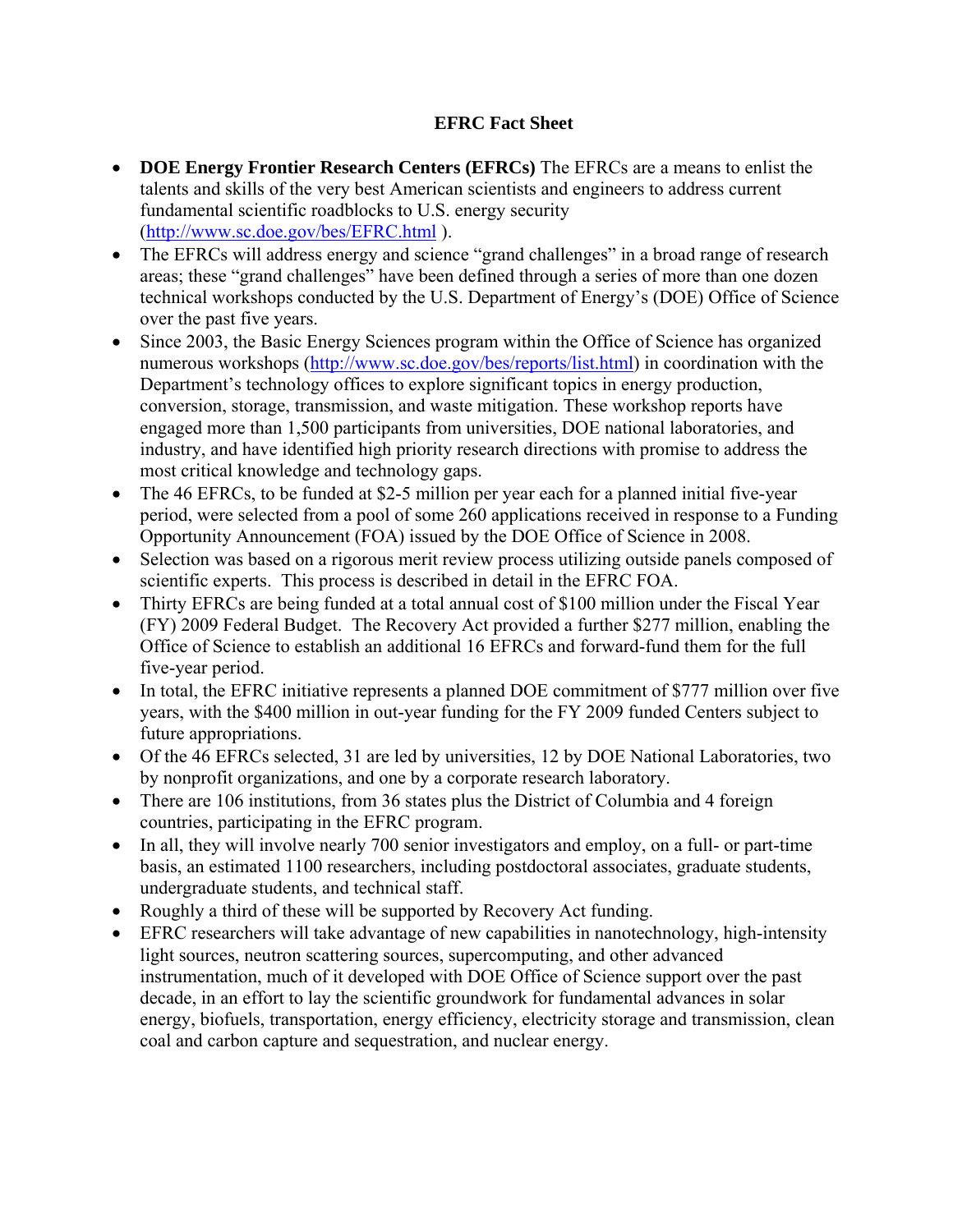## **EFRC Fact Sheet**

- **DOE Energy Frontier Research Centers (EFRCs)** The EFRCs are a means to enlist the talents and skills of the very best American scientists and engineers to address current fundamental scientific roadblocks to U.S. energy security (http://www.sc.doe.gov/bes/EFRC.html ).
- The EFRCs will address energy and science "grand challenges" in a broad range of research areas; these "grand challenges" have been defined through a series of more than one dozen technical workshops conducted by the U.S. Department of Energy's (DOE) Office of Science over the past five years.
- Since 2003, the Basic Energy Sciences program within the Office of Science has organized numerous workshops (http://www.sc.doe.gov/bes/reports/list.html) in coordination with the Department's technology offices to explore significant topics in energy production, conversion, storage, transmission, and waste mitigation. These workshop reports have engaged more than 1,500 participants from universities, DOE national laboratories, and industry, and have identified high priority research directions with promise to address the most critical knowledge and technology gaps.
- The 46 EFRCs, to be funded at \$2-5 million per year each for a planned initial five-year period, were selected from a pool of some 260 applications received in response to a Funding Opportunity Announcement (FOA) issued by the DOE Office of Science in 2008.
- Selection was based on a rigorous merit review process utilizing outside panels composed of scientific experts. This process is described in detail in the EFRC FOA.
- Thirty EFRCs are being funded at a total annual cost of \$100 million under the Fiscal Year (FY) 2009 Federal Budget. The Recovery Act provided a further \$277 million, enabling the Office of Science to establish an additional 16 EFRCs and forward-fund them for the full five-year period.
- In total, the EFRC initiative represents a planned DOE commitment of \$777 million over five years, with the \$400 million in out-year funding for the FY 2009 funded Centers subject to future appropriations.
- Of the 46 EFRCs selected, 31 are led by universities, 12 by DOE National Laboratories, two by nonprofit organizations, and one by a corporate research laboratory.
- There are 106 institutions, from 36 states plus the District of Columbia and 4 foreign countries, participating in the EFRC program.
- In all, they will involve nearly 700 senior investigators and employ, on a full- or part-time basis, an estimated 1100 researchers, including postdoctoral associates, graduate students, undergraduate students, and technical staff.
- Roughly a third of these will be supported by Recovery Act funding.
- EFRC researchers will take advantage of new capabilities in nanotechnology, high-intensity light sources, neutron scattering sources, supercomputing, and other advanced instrumentation, much of it developed with DOE Office of Science support over the past decade, in an effort to lay the scientific groundwork for fundamental advances in solar energy, biofuels, transportation, energy efficiency, electricity storage and transmission, clean coal and carbon capture and sequestration, and nuclear energy.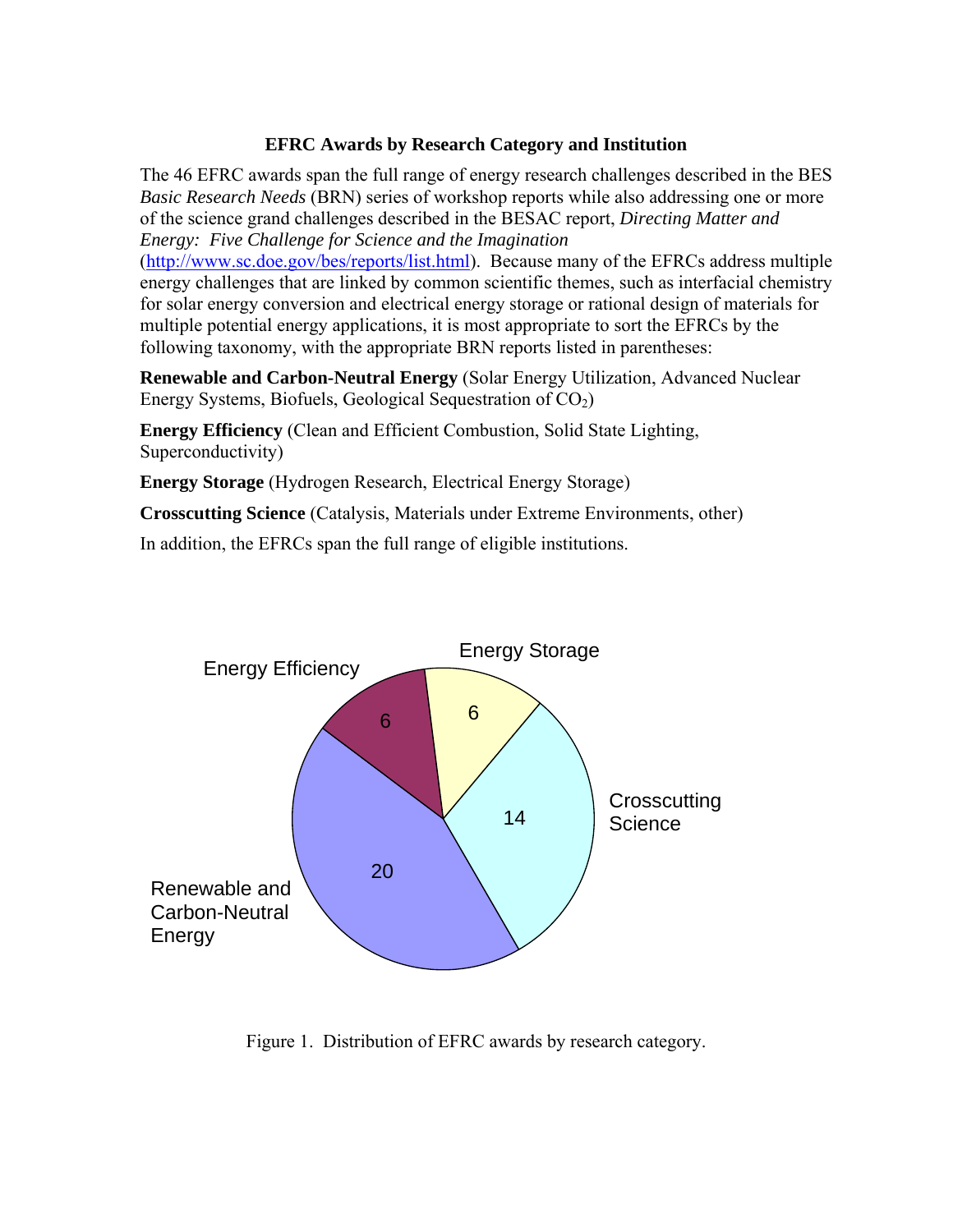## **EFRC Awards by Research Category and Institution**

The 46 EFRC awards span the full range of energy research challenges described in the BES *Basic Research Needs* (BRN) series of workshop reports while also addressing one or more of the science grand challenges described in the BESAC report, *Directing Matter and Energy: Five Challenge for Science and the Imagination* 

(http://www.sc.doe.gov/bes/reports/list.html). Because many of the EFRCs address multiple energy challenges that are linked by common scientific themes, such as interfacial chemistry for solar energy conversion and electrical energy storage or rational design of materials for multiple potential energy applications, it is most appropriate to sort the EFRCs by the following taxonomy, with the appropriate BRN reports listed in parentheses:

**Renewable and Carbon-Neutral Energy** (Solar Energy Utilization, Advanced Nuclear Energy Systems, Biofuels, Geological Sequestration of  $CO<sub>2</sub>$ )

**Energy Efficiency** (Clean and Efficient Combustion, Solid State Lighting, Superconductivity)

**Energy Storage** (Hydrogen Research, Electrical Energy Storage)

**Crosscutting Science** (Catalysis, Materials under Extreme Environments, other)

In addition, the EFRCs span the full range of eligible institutions.



Figure 1. Distribution of EFRC awards by research category.